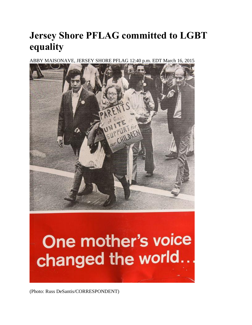## **Jersey Shore PFLAG committed to LGBT equality**

ABBY MAISONAVE, JERSEY SHORE PFLAG 12:40 p.m. EDT March 16, 2015



## One mother's voice changed the world...

(Photo: Russ DeSantis/CORRESPONDENT)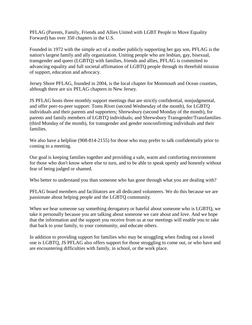PFLAG (Parents, Family, Friends and Allies United with LGBT People to Move Equality Forward) has over 350 chapters in the U.S.

Founded in 1972 with the simple act of a mother publicly supporting her gay son, PFLAG is the nation's largest family and ally organization. Uniting people who are lesbian, gay, bisexual, transgender and queer (LGBTQ) with families, friends and allies, PFLAG is committed to advancing equality and full societal affirmation of LGBTQ people through its threefold mission of support, education and advocacy.

Jersey Shore PFLAG, founded in 2004, is the local chapter for Monmouth and Ocean counties, although there are six PFLAG chapters in New Jersey.

JS PFLAG hosts three monthly support meetings that are strictly confidential, nonjudgmental, and offer peer-to-peer support: Toms River (second Wednesday of the month), for LGBTQ individuals and their parents and supporters; Shrewsbury (second Monday of the month), for parents and family members of LGBTQ individuals; and Shrewsbury Transgender/Transfamilies (third Monday of the month), for transgender and gender nonconfirming individuals and their families.

We also have a helpline (908-814-2155) for those who may prefer to talk confidentially prior to coming to a meeting.

Our goal is keeping families together and providing a safe, warm and comforting environment for those who don't know where else to turn, and to be able to speak openly and honestly without fear of being judged or shamed.

Who better to understand you than someone who has gone through what you are dealing with?

PFLAG board members and facilitators are all dedicated volunteers. We do this because we are passionate about helping people and the LGBTQ community.

When we hear someone say something derogatory or hateful about someone who is LGBTQ, we take it personally because you are talking about someone we care about and love. And we hope that the information and the support you receive from us at our meetings will enable you to take that back to your family, to your community, and educate others.

In addition to providing support for families who may be struggling when finding out a loved one is LGBTQ, JS PFLAG also offers support for those struggling to come out, or who have and are encountering difficulties with family, in school, or the work place.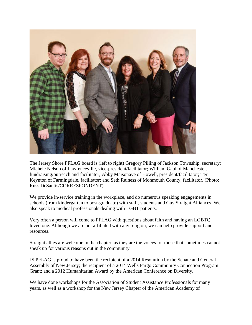

The Jersey Shore PFLAG board is (left to right) Gregory Pilling of Jackson Township, secretary; Michele Nelson of Lawrenceville, vice-president/facilitator; William Gaul of Manchester, fundraising/outreach and facilitator; Abby Maisonave of Howell, president/facilitator; Teri Keynton of Farmingdale, facilitator; and Seth Rainess of Monmouth County, facilitator. (Photo: Russ DeSantis/CORRESPONDENT)

We provide in-service training in the workplace, and do numerous speaking engagements in schools (from kindergarten to post-graduate) with staff, students and Gay Straight Alliances. We also speak to medical professionals dealing with LGBT patients.

Very often a person will come to PFLAG with questions about faith and having an LGBTQ loved one. Although we are not affiliated with any religion, we can help provide support and resources.

Straight allies are welcome in the chapter, as they are the voices for those that sometimes cannot speak up for various reasons out in the community.

JS PFLAG is proud to have been the recipient of a 2014 Resolution by the Senate and General Assembly of New Jersey; the recipient of a 2014 Wells Fargo Community Connection Program Grant; and a 2012 Humanitarian Award by the American Conference on Diversity.

We have done workshops for the Association of Student Assistance Professionals for many years, as well as a workshop for the New Jersey Chapter of the American Academy of